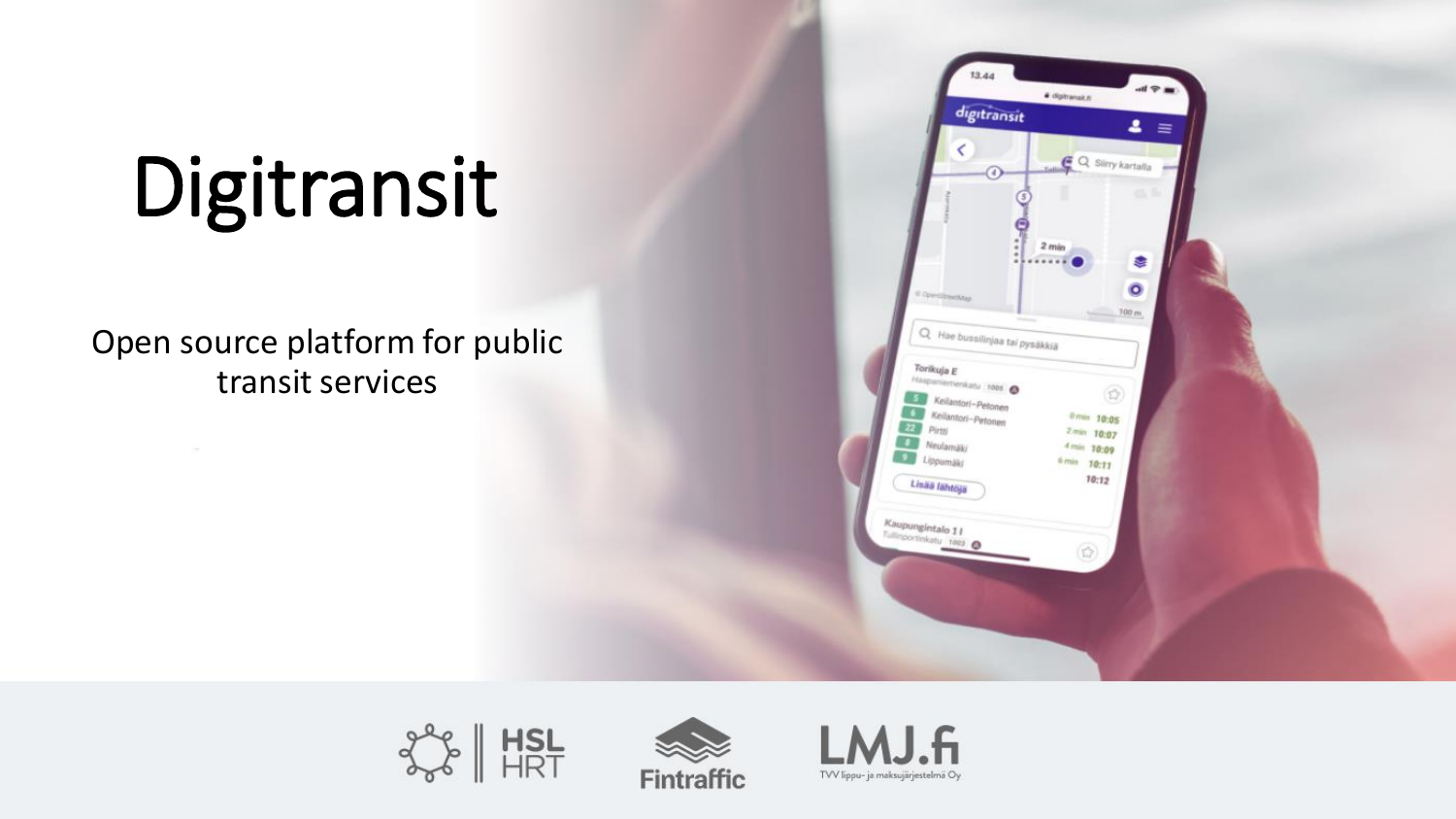# Digitransit

#### Open source platform for public transit services







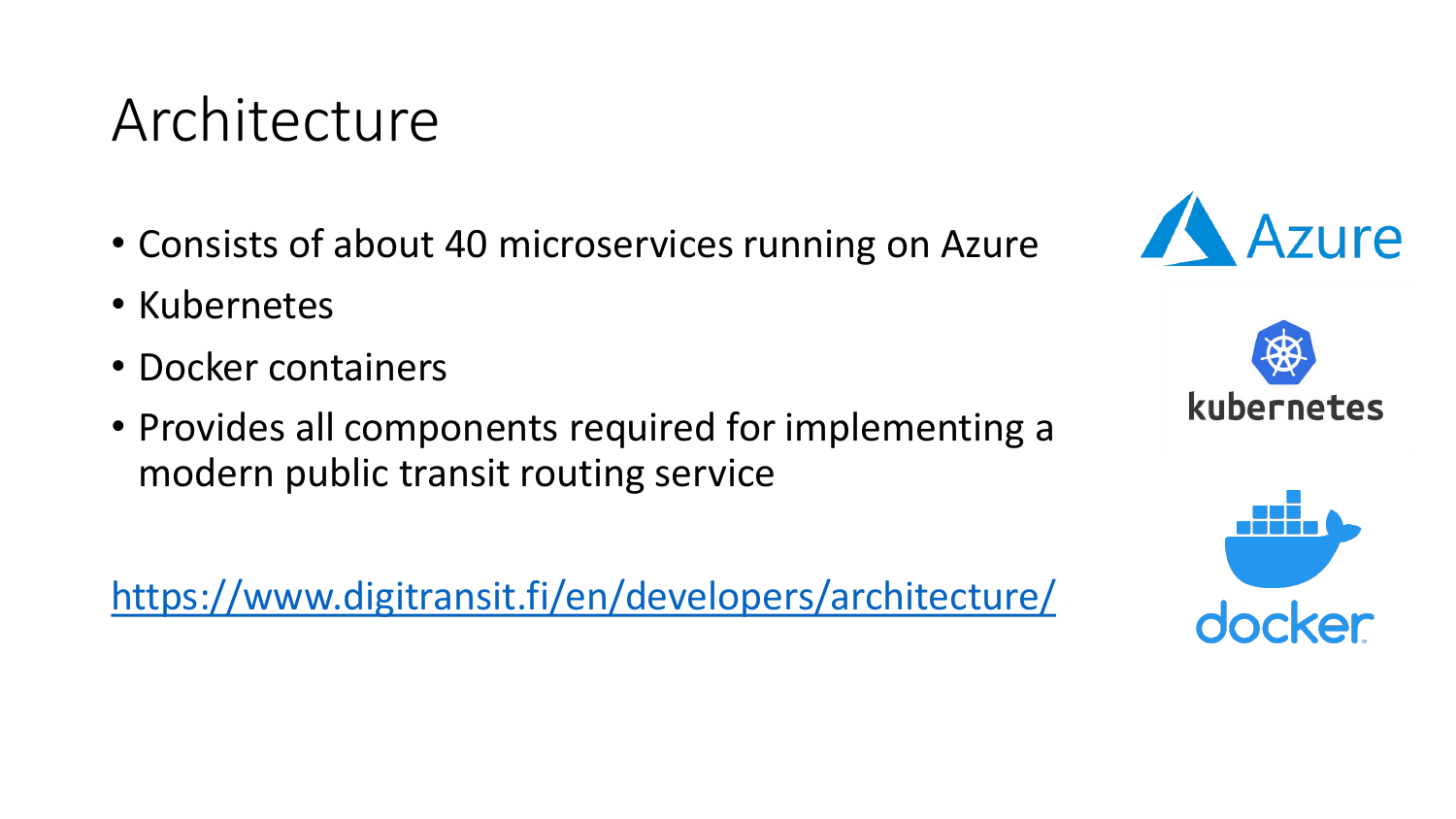#### Architecture

- Consists of about 40 microservices running on Azure
- Kubernetes
- Docker containers
- Provides all components required for implementing a modern public transit routing service

<https://www.digitransit.fi/en/developers/architecture/>





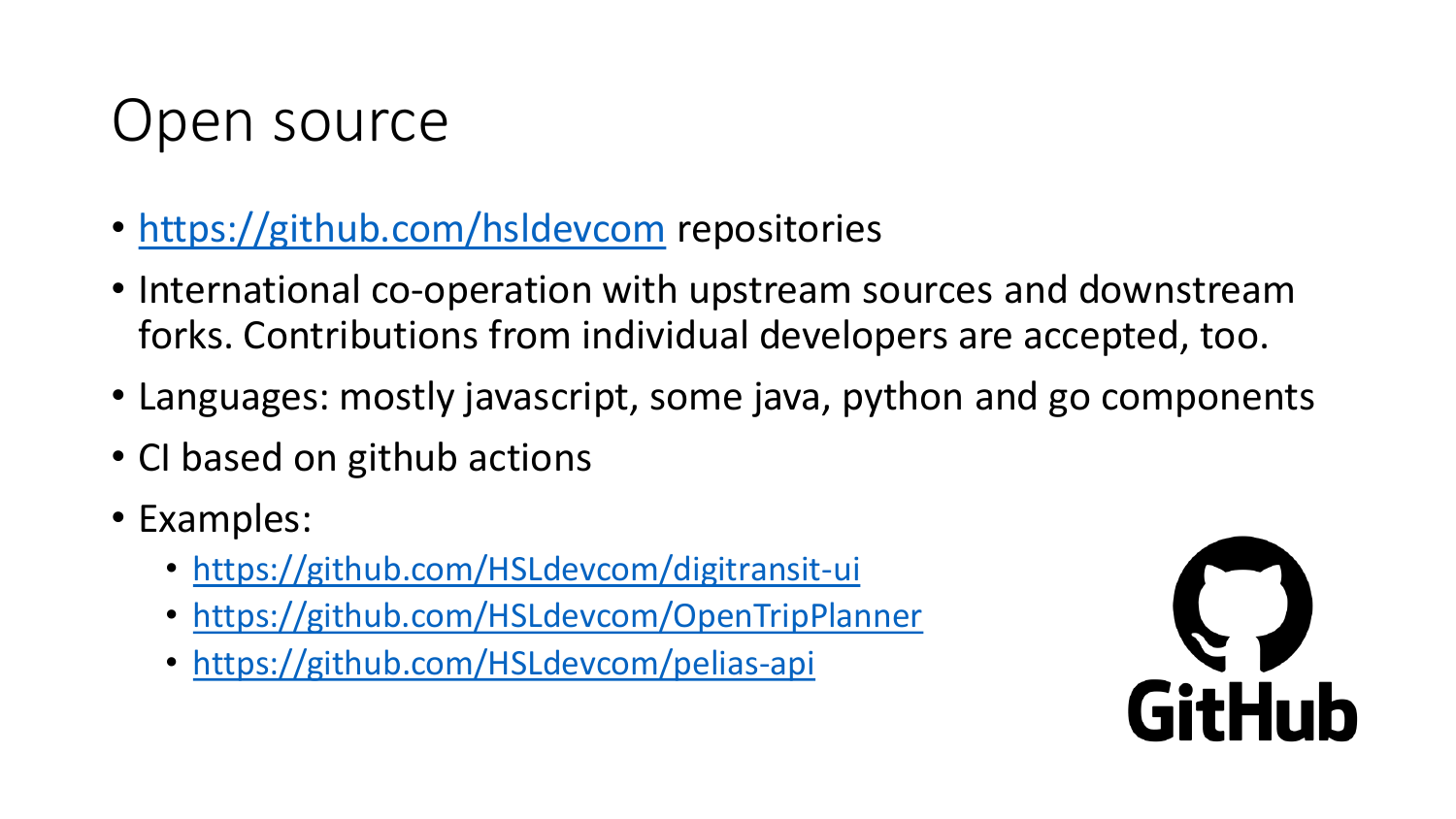### Open source

- <https://github.com/hsldevcom> repositories
- International co-operation with upstream sources and downstream forks. Contributions from individual developers are accepted, too.
- Languages: mostly javascript, some java, python and go components
- CI based on github actions
- Examples:
	- <https://github.com/HSLdevcom/digitransit-ui>
	- <https://github.com/HSLdevcom/OpenTripPlanner>
	- <https://github.com/HSLdevcom/pelias-api>

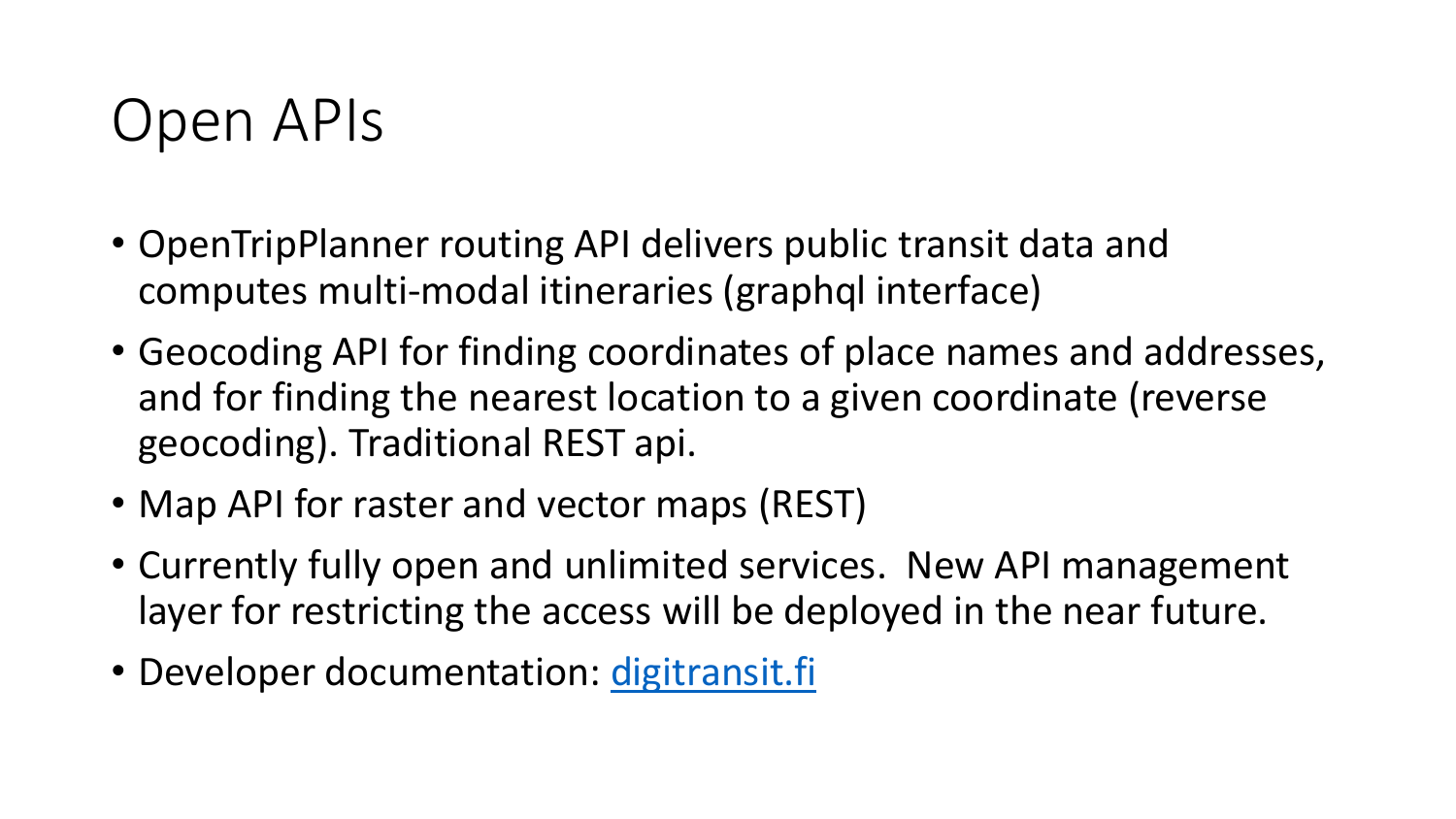### Open APIs

- OpenTripPlanner routing API delivers public transit data and computes multi-modal itineraries (graphql interface)
- Geocoding API for finding coordinates of place names and addresses, and for finding the nearest location to a given coordinate (reverse geocoding). Traditional REST api.
- Map API for raster and vector maps (REST)
- Currently fully open and unlimited services. New API management layer for restricting the access will be deployed in the near future.
- Developer documentation: [digitransit.fi](http://www.digitransit.fi/)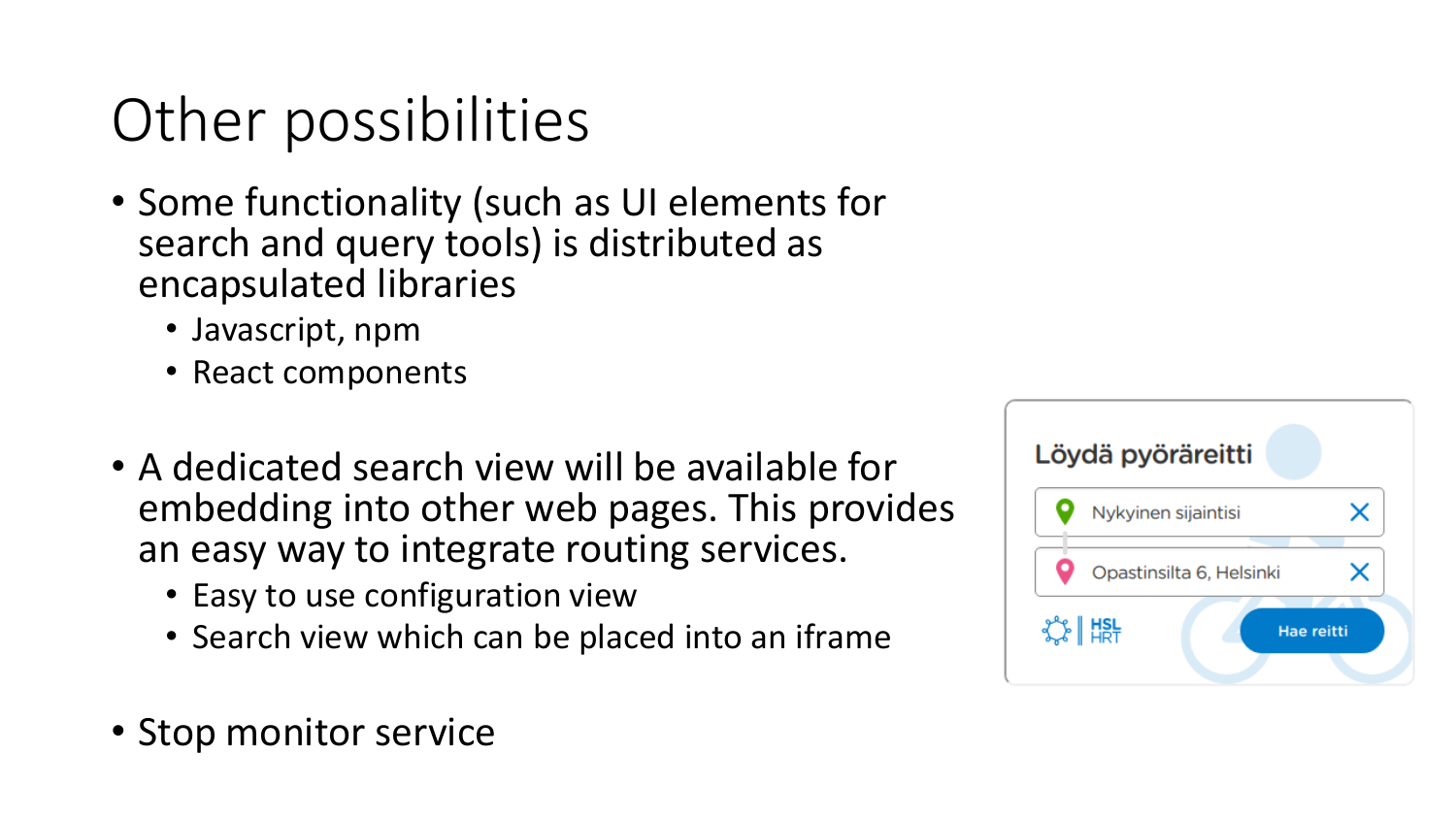# Other possibilities

- Some functionality (such as UI elements for search and query tools) is distributed as encapsulated libraries
	- Javascript, npm
	- React components
- A dedicated search view will be available for embedding into other web pages. This provides an easy way to integrate routing services.
	- Easy to use configuration view
	- Search view which can be placed into an iframe
- Stop monitor service

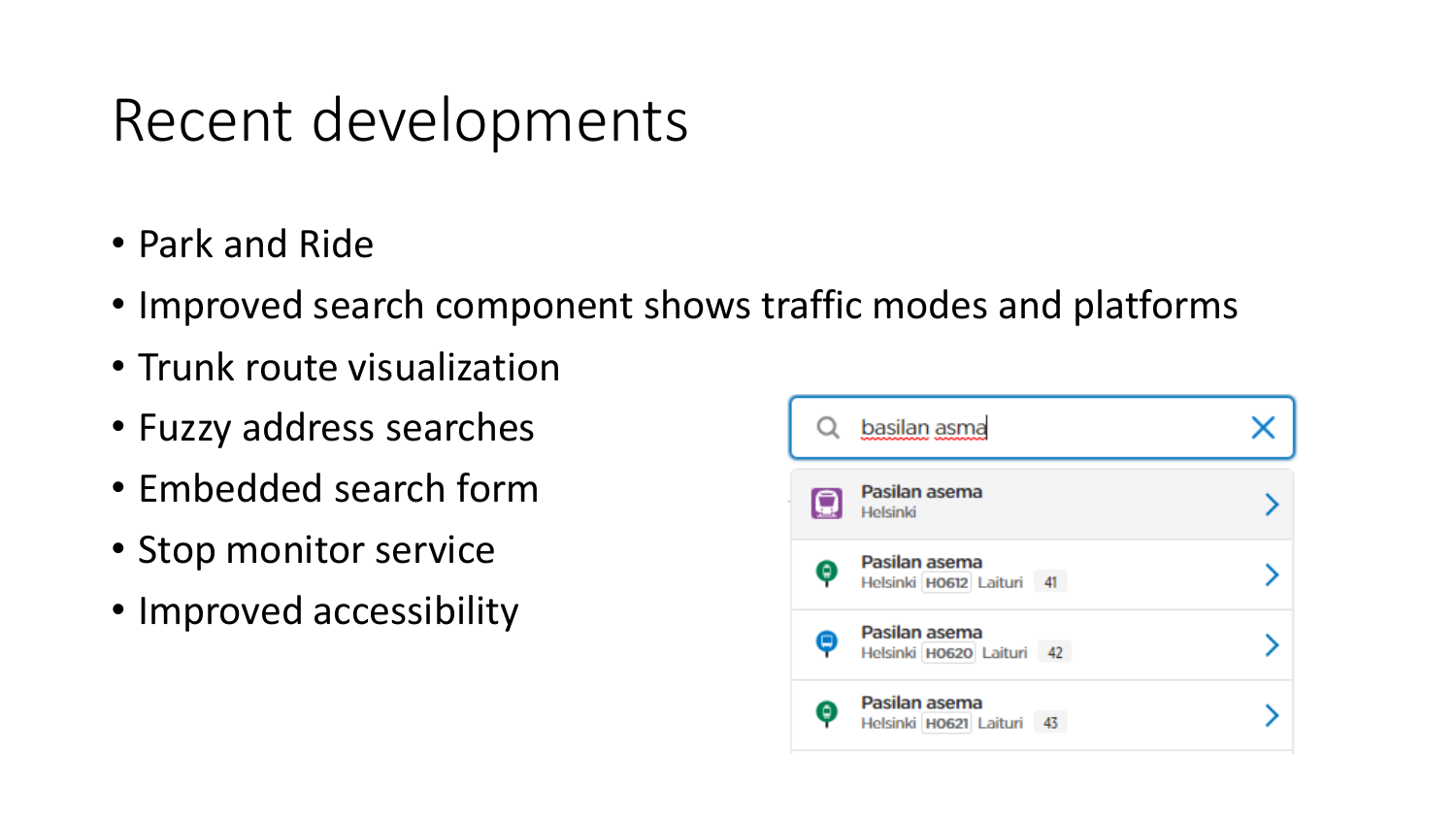#### Recent developments

- Park and Ride
- Improved search component shows traffic modes and platforms
- Trunk route visualization
- Fuzzy address searches
- Embedded search form
- Stop monitor service
- Improved accessibility